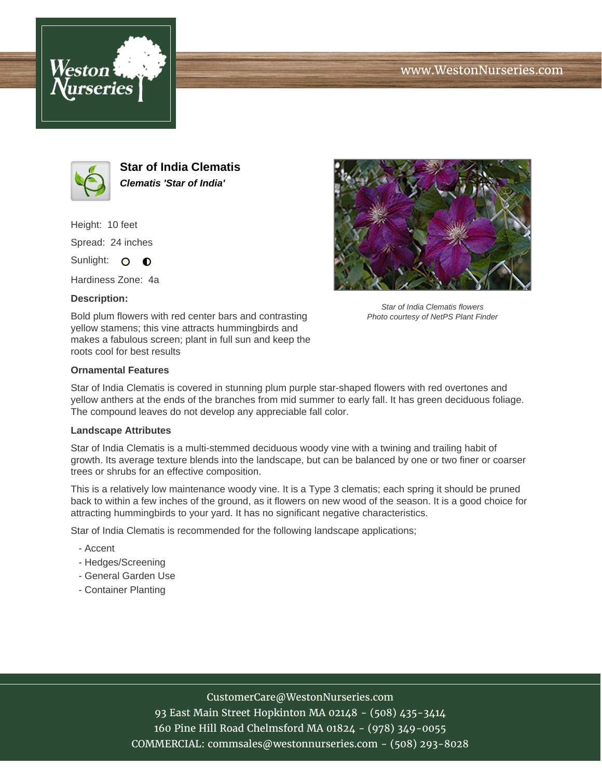





**Star of India Clematis Clematis 'Star of India'**

Height: 10 feet Spread: 24 inches Sunlight: O **O** 

Hardiness Zone: 4a

### **Description:**

Bold plum flowers with red center bars and contrasting yellow stamens; this vine attracts hummingbirds and makes a fabulous screen; plant in full sun and keep the roots cool for best results



Star of India Clematis flowers Photo courtesy of NetPS Plant Finder

### **Ornamental Features**

Star of India Clematis is covered in stunning plum purple star-shaped flowers with red overtones and yellow anthers at the ends of the branches from mid summer to early fall. It has green deciduous foliage. The compound leaves do not develop any appreciable fall color.

#### **Landscape Attributes**

Star of India Clematis is a multi-stemmed deciduous woody vine with a twining and trailing habit of growth. Its average texture blends into the landscape, but can be balanced by one or two finer or coarser trees or shrubs for an effective composition.

This is a relatively low maintenance woody vine. It is a Type 3 clematis; each spring it should be pruned back to within a few inches of the ground, as it flowers on new wood of the season. It is a good choice for attracting hummingbirds to your yard. It has no significant negative characteristics.

Star of India Clematis is recommended for the following landscape applications;

- Accent
- Hedges/Screening
- General Garden Use
- Container Planting

# CustomerCare@WestonNurseries.com

93 East Main Street Hopkinton MA 02148 - (508) 435-3414 160 Pine Hill Road Chelmsford MA 01824 - (978) 349-0055 COMMERCIAL: commsales@westonnurseries.com - (508) 293-8028